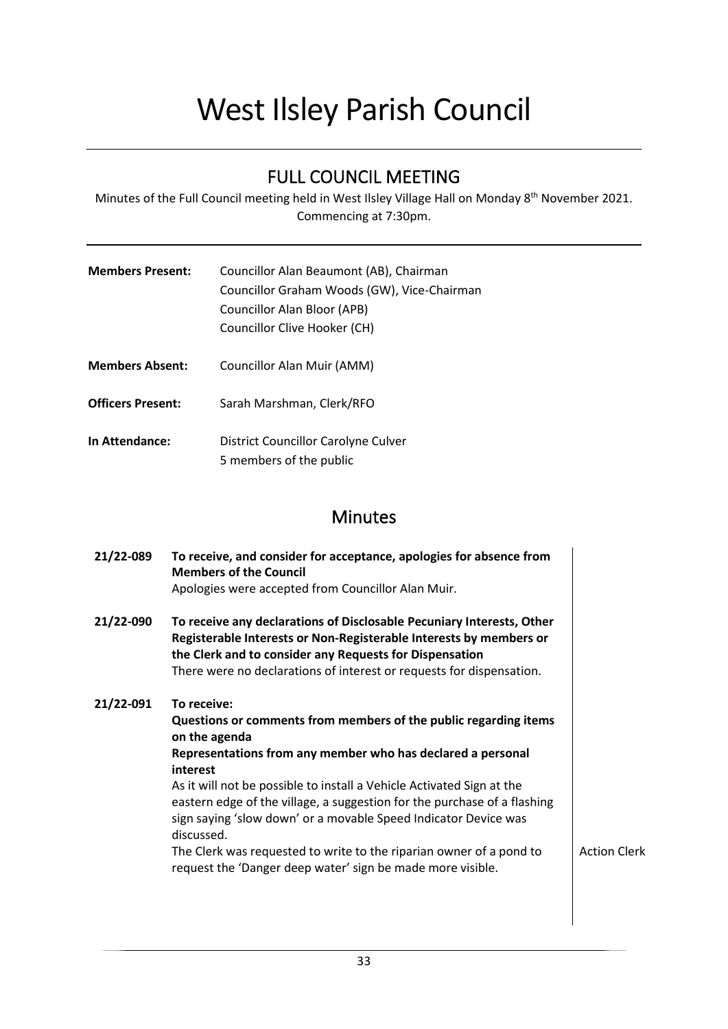# West Ilsley Parish Council

## FULL COUNCIL MEETING

Minutes of the Full Council meeting held in West Ilsley Village Hall on Monday 8<sup>th</sup> November 2021. Commencing at 7:30pm.

| <b>Members Present:</b> | Councillor Alan Beaumont (AB), Chairman     |
|-------------------------|---------------------------------------------|
|                         | Councillor Graham Woods (GW), Vice-Chairman |
|                         | Councillor Alan Bloor (APB)                 |
|                         | Councillor Clive Hooker (CH)                |

- **Members Absent:** Councillor Alan Muir (AMM)
- **Officers Present:** Sarah Marshman, Clerk/RFO
- **In Attendance:** District Councillor Carolyne Culver 5 members of the public

### **Minutes**

| 21/22-089 | To receive, and consider for acceptance, apologies for absence from<br><b>Members of the Council</b><br>Apologies were accepted from Councillor Alan Muir.                                                                                                                                                                                                                                                                                                                                                                                             |                     |
|-----------|--------------------------------------------------------------------------------------------------------------------------------------------------------------------------------------------------------------------------------------------------------------------------------------------------------------------------------------------------------------------------------------------------------------------------------------------------------------------------------------------------------------------------------------------------------|---------------------|
| 21/22-090 | To receive any declarations of Disclosable Pecuniary Interests, Other<br>Registerable Interests or Non-Registerable Interests by members or<br>the Clerk and to consider any Requests for Dispensation<br>There were no declarations of interest or requests for dispensation.                                                                                                                                                                                                                                                                         |                     |
| 21/22-091 | To receive:<br>Questions or comments from members of the public regarding items<br>on the agenda<br>Representations from any member who has declared a personal<br>interest<br>As it will not be possible to install a Vehicle Activated Sign at the<br>eastern edge of the village, a suggestion for the purchase of a flashing<br>sign saying 'slow down' or a movable Speed Indicator Device was<br>discussed.<br>The Clerk was requested to write to the riparian owner of a pond to<br>request the 'Danger deep water' sign be made more visible. | <b>Action Clerk</b> |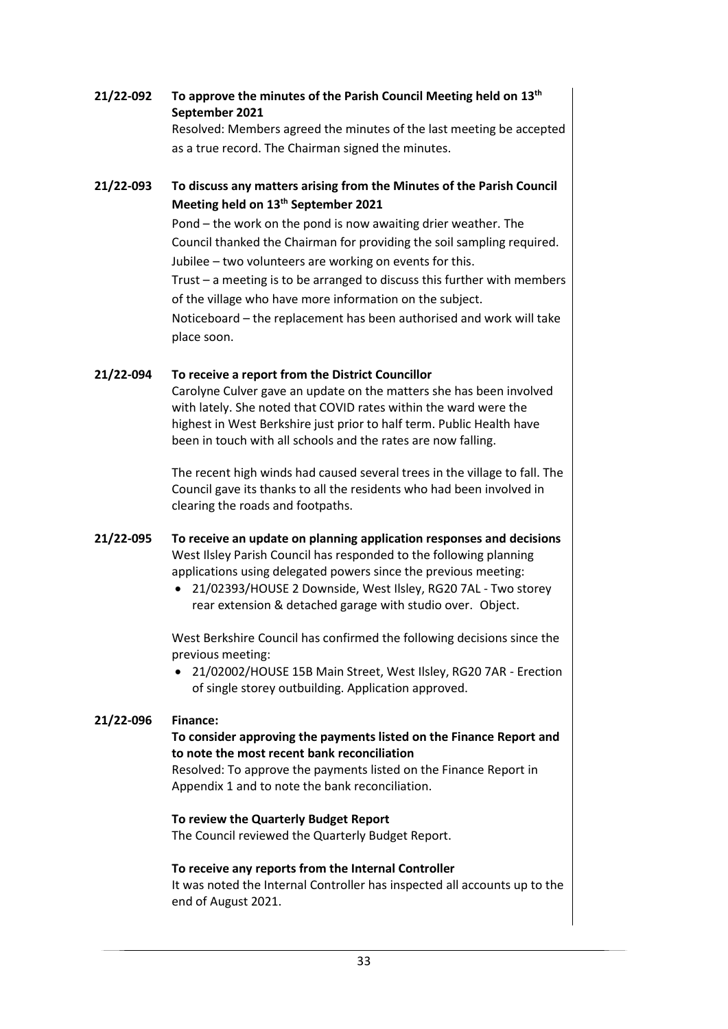#### **21/22-092 To approve the minutes of the Parish Council Meeting held on 13 th September 2021**

Resolved: Members agreed the minutes of the last meeting be accepted as a true record. The Chairman signed the minutes.

#### **21/22-093 To discuss any matters arising from the Minutes of the Parish Council Meeting held on 13 th September 2021**

Pond – the work on the pond is now awaiting drier weather. The Council thanked the Chairman for providing the soil sampling required. Jubilee – two volunteers are working on events for this. Trust – a meeting is to be arranged to discuss this further with members of the village who have more information on the subject. Noticeboard – the replacement has been authorised and work will take place soon.

#### **21/22-094 To receive a report from the District Councillor**

Carolyne Culver gave an update on the matters she has been involved with lately. She noted that COVID rates within the ward were the highest in West Berkshire just prior to half term. Public Health have been in touch with all schools and the rates are now falling.

The recent high winds had caused several trees in the village to fall. The Council gave its thanks to all the residents who had been involved in clearing the roads and footpaths.

- **21/22-095 To receive an update on planning application responses and decisions** West Ilsley Parish Council has responded to the following planning applications using delegated powers since the previous meeting:
	- 21/02393/HOUSE 2 Downside, West Ilsley, RG20 7AL Two storey rear extension & detached garage with studio over. Object.

West Berkshire Council has confirmed the following decisions since the previous meeting:

• 21/02002/HOUSE 15B Main Street, West Ilsley, RG20 7AR - Erection of single storey outbuilding. Application approved.

#### **21/22-096 Finance:**

#### **To consider approving the payments listed on the Finance Report and to note the most recent bank reconciliation**

Resolved: To approve the payments listed on the Finance Report in Appendix 1 and to note the bank reconciliation.

#### **To review the Quarterly Budget Report**

The Council reviewed the Quarterly Budget Report.

#### **To receive any reports from the Internal Controller**

It was noted the Internal Controller has inspected all accounts up to the end of August 2021.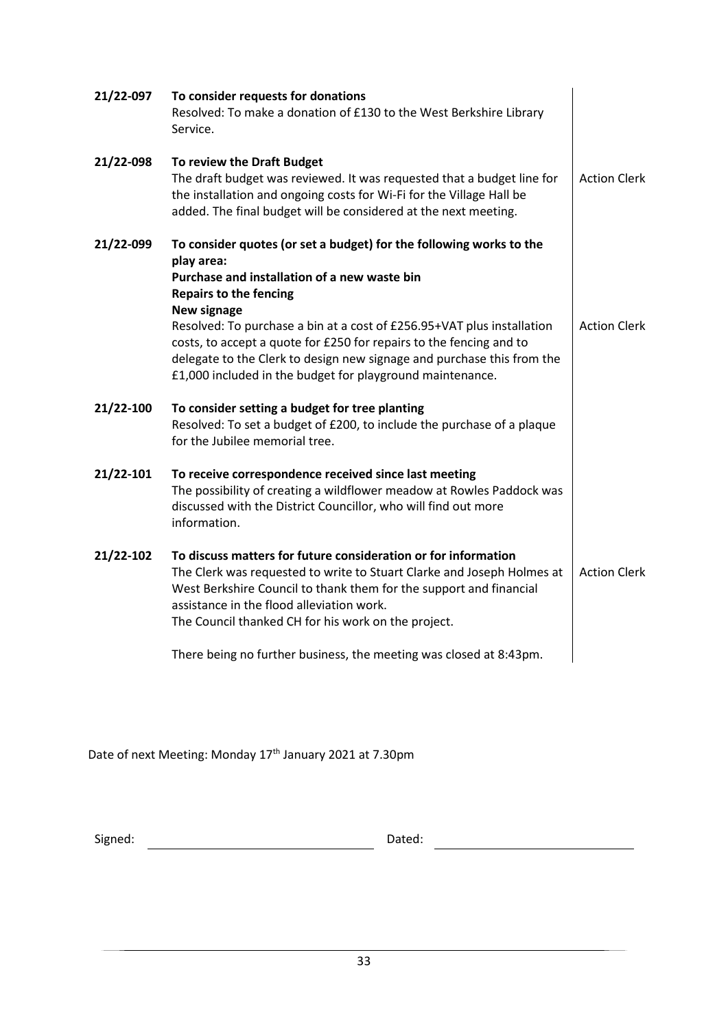| 21/22-097 | To consider requests for donations<br>Resolved: To make a donation of £130 to the West Berkshire Library<br>Service.                                                                                                                                                                                                                                                                                                                                                      |                     |
|-----------|---------------------------------------------------------------------------------------------------------------------------------------------------------------------------------------------------------------------------------------------------------------------------------------------------------------------------------------------------------------------------------------------------------------------------------------------------------------------------|---------------------|
| 21/22-098 | To review the Draft Budget<br>The draft budget was reviewed. It was requested that a budget line for<br>the installation and ongoing costs for Wi-Fi for the Village Hall be<br>added. The final budget will be considered at the next meeting.                                                                                                                                                                                                                           | <b>Action Clerk</b> |
| 21/22-099 | To consider quotes (or set a budget) for the following works to the<br>play area:<br>Purchase and installation of a new waste bin<br><b>Repairs to the fencing</b><br>New signage<br>Resolved: To purchase a bin at a cost of £256.95+VAT plus installation<br>costs, to accept a quote for £250 for repairs to the fencing and to<br>delegate to the Clerk to design new signage and purchase this from the<br>£1,000 included in the budget for playground maintenance. | <b>Action Clerk</b> |
| 21/22-100 | To consider setting a budget for tree planting<br>Resolved: To set a budget of £200, to include the purchase of a plaque<br>for the Jubilee memorial tree.                                                                                                                                                                                                                                                                                                                |                     |
| 21/22-101 | To receive correspondence received since last meeting<br>The possibility of creating a wildflower meadow at Rowles Paddock was<br>discussed with the District Councillor, who will find out more<br>information.                                                                                                                                                                                                                                                          |                     |
| 21/22-102 | To discuss matters for future consideration or for information<br>The Clerk was requested to write to Stuart Clarke and Joseph Holmes at<br>West Berkshire Council to thank them for the support and financial<br>assistance in the flood alleviation work.<br>The Council thanked CH for his work on the project.                                                                                                                                                        | <b>Action Clerk</b> |
|           | There being no further business, the meeting was closed at 8:43pm.                                                                                                                                                                                                                                                                                                                                                                                                        |                     |

Date of next Meeting: Monday 17<sup>th</sup> January 2021 at 7.30pm

Signed: Dated: